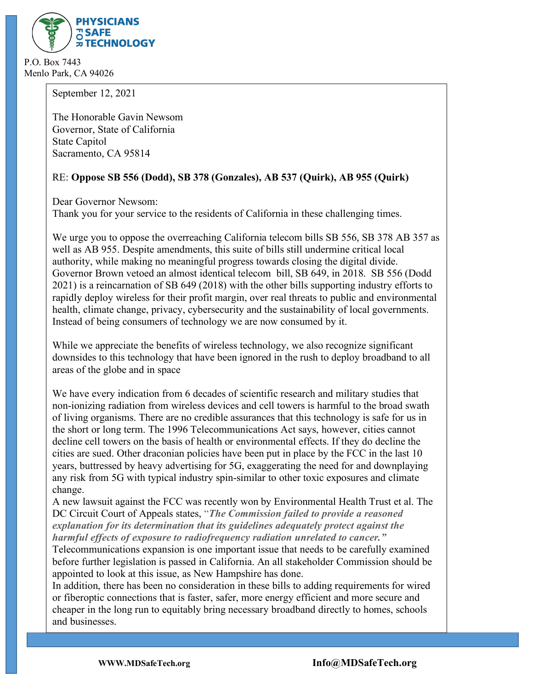

P.O. Box 7443 Menlo Park, CA 94026

September 12, 2021

The Honorable Gavin Newsom Governor, State of California State Capitol Sacramento, CA 95814

# RE: **Oppose SB 556 (Dodd), SB 378 (Gonzales), AB 537 (Quirk), AB 955 (Quirk)**

Dear Governor Newsom: Thank you for your service to the residents of California in these challenging times.

We urge you to oppose the overreaching California telecom bills SB 556, SB 378 AB 357 as well as AB 955. Despite amendments, this suite of bills still undermine critical local authority, while making no meaningful progress towards closing the digital divide. Governor Brown vetoed an almost identical telecom bill, SB 649, in 2018. SB 556 (Dodd 2021) is a reincarnation of SB 649 (2018) with the other bills supporting industry efforts to rapidly deploy wireless for their profit margin, over real threats to public and environmental health, climate change, privacy, cybersecurity and the sustainability of local governments. Instead of being consumers of technology we are now consumed by it.

While we appreciate the benefits of wireless technology, we also recognize significant downsides to this technology that have been ignored in the rush to deploy broadband to all areas of the globe and in space

We have every indication from 6 decades of scientific research and military studies that non-ionizing radiation from wireless devices and cell towers is harmful to the broad swath of living organisms. There are no credible assurances that this technology is safe for us in the short or long term. The 1996 Telecommunications Act says, however, cities cannot decline cell towers on the basis of health or environmental effects. If they do decline the cities are sued. Other draconian policies have been put in place by the FCC in the last 10 years, buttressed by heavy advertising for 5G, exaggerating the need for and downplaying any risk from 5G with typical industry spin-similar to other toxic exposures and climate change.

A new lawsuit against the FCC was recently won by Environmental Health Trust et al. The DC Circuit Court of Appeals states, "*The Commission failed to provide a reasoned explanation for its determination that its guidelines adequately protect against the harmful effects of exposure to radiofrequency radiation unrelated to cancer."*

Telecommunications expansion is one important issue that needs to be carefully examined before further legislation is passed in California. An all stakeholder Commission should be appointed to look at this issue, as New Hampshire has done.

In addition, there has been no consideration in these bills to adding requirements for wired or fiberoptic connections that is faster, safer, more energy efficient and more secure and cheaper in the long run to equitably bring necessary broadband directly to homes, schools and businesses.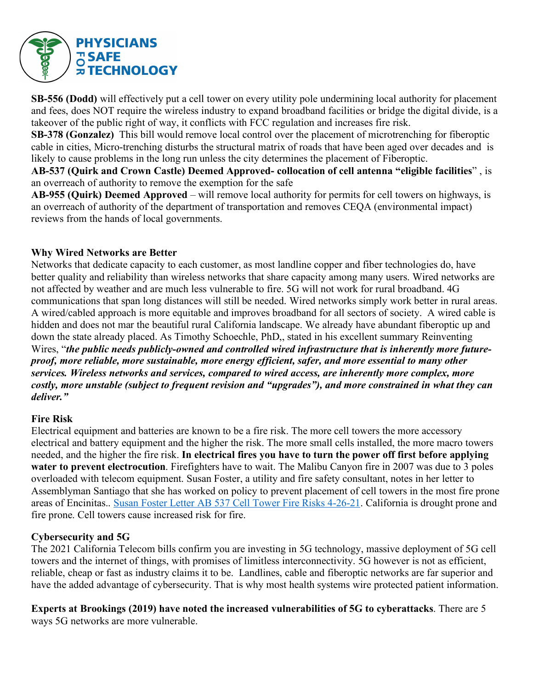

**SB-556 (Dodd)** will effectively put a cell tower on every utility pole undermining local authority for placement and fees, does NOT require the wireless industry to expand broadband facilities or bridge the digital divide, is a takeover of the public right of way, it conflicts with FCC regulation and increases fire risk.

**SB-378 (Gonzalez)** This bill would remove local control over the placement of microtrenching for fiberoptic cable in cities, Micro-trenching disturbs the structural matrix of roads that have been aged over decades and is likely to cause problems in the long run unless the city determines the placement of Fiberoptic.

**AB-537 (Quirk and Crown Castle) Deemed Approved- collocation of cell antenna "eligible facilities**" , is an overreach of authority to remove the exemption for the safe

**AB-955 (Quirk) Deemed Approved** – will remove local authority for permits for cell towers on highways, is an overreach of authority of the department of transportation and removes CEQA (environmental impact) reviews from the hands of local governments.

### **Why Wired Networks are Better**

Networks that dedicate capacity to each customer, as most landline copper and fiber technologies do, have better quality and reliability than wireless networks that share capacity among many users. Wired networks are not affected by weather and are much less vulnerable to fire. 5G will not work for rural broadband. 4G communications that span long distances will still be needed. Wired networks simply work better in rural areas. A wired/cabled approach is more equitable and improves broadband for all sectors of society. A wired cable is hidden and does not mar the beautiful rural California landscape. We already have abundant fiberoptic up and down the state already placed. As Timothy Schoechle, PhD,, stated in his excellent summary Reinventing Wires, "*the public needs publicly-owned and controlled wired infrastructure that is inherently more futureproof, more reliable, more sustainable, more energy efficient, safer, and more essential to many other services. Wireless networks and services, compared to wired access, are inherently more complex, more costly, more unstable (subject to frequent revision and "upgrades"), and more constrained in what they can deliver."*

#### **Fire Risk**

Electrical equipment and batteries are known to be a fire risk. The more cell towers the more accessory electrical and battery equipment and the higher the risk. The more small cells installed, the more macro towers needed, and the higher the fire risk. **In electrical fires you have to turn the power off first before applying water to prevent electrocution**. Firefighters have to wait. The Malibu Canyon fire in 2007 was due to 3 poles overloaded with telecom equipment. Susan Foster, a utility and fire safety consultant, notes in her letter to Assemblyman Santiago that she has worked on policy to prevent placement of cell towers in the most fire prone areas of Encinitas.. Susan Foster Letter AB 537 Cell Tower Fire Risks 4-26-21. California is drought prone and fire prone. Cell towers cause increased risk for fire.

### **Cybersecurity and 5G**

The 2021 California Telecom bills confirm you are investing in 5G technology, massive deployment of 5G cell towers and the internet of things, with promises of limitless interconnectivity. 5G however is not as efficient, reliable, cheap or fast as industry claims it to be. Landlines, cable and fiberoptic networks are far superior and have the added advantage of cybersecurity. That is why most health systems wire protected patient information.

**Experts at Brookings (2019) have noted the increased vulnerabilities of 5G to cyberattacks**. There are 5 ways 5G networks are more vulnerable.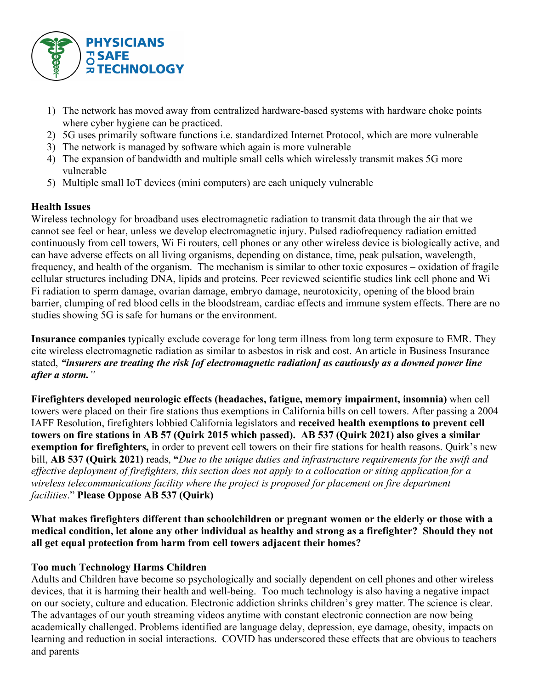

- 1) The network has moved away from centralized hardware-based systems with hardware choke points where cyber hygiene can be practiced.
- 2) 5G uses primarily software functions i.e. standardized Internet Protocol, which are more vulnerable
- 3) The network is managed by software which again is more vulnerable
- 4) The expansion of bandwidth and multiple small cells which wirelessly transmit makes 5G more vulnerable
- 5) Multiple small IoT devices (mini computers) are each uniquely vulnerable

# **Health Issues**

Wireless technology for broadband uses electromagnetic radiation to transmit data through the air that we cannot see feel or hear, unless we develop electromagnetic injury. Pulsed radiofrequency radiation emitted continuously from cell towers, Wi Fi routers, cell phones or any other wireless device is biologically active, and can have adverse effects on all living organisms, depending on distance, time, peak pulsation, wavelength, frequency, and health of the organism. The mechanism is similar to other toxic exposures – oxidation of fragile cellular structures including DNA, lipids and proteins. Peer reviewed scientific studies link cell phone and Wi Fi radiation to sperm damage, ovarian damage, embryo damage, neurotoxicity, opening of the blood brain barrier, clumping of red blood cells in the bloodstream, cardiac effects and immune system effects. There are no studies showing 5G is safe for humans or the environment.

**Insurance companies** typically exclude coverage for long term illness from long term exposure to EMR. They cite wireless electromagnetic radiation as similar to asbestos in risk and cost. An article in Business Insurance stated, *"insurers are treating the risk [of electromagnetic radiation] as cautiously as a downed power line after a storm."*

**Firefighters developed neurologic effects (headaches, fatigue, memory impairment, insomnia)** when cell towers were placed on their fire stations thus exemptions in California bills on cell towers. After passing a 2004 IAFF Resolution, firefighters lobbied California legislators and **received health exemptions to prevent cell towers on fire stations in AB 57 (Quirk 2015 which passed). AB 537 (Quirk 2021) also gives a similar exemption for firefighters,** in order to prevent cell towers on their fire stations for health reasons. Quirk's new bill, **AB 537 (Quirk 2021)** reads, **"***Due to the unique duties and infrastructure requirements for the swift and effective deployment of firefighters, this section does not apply to a collocation or siting application for a wireless telecommunications facility where the project is proposed for placement on fire department facilities*." **Please Oppose AB 537 (Quirk)**

**What makes firefighters different than schoolchildren or pregnant women or the elderly or those with a medical condition, let alone any other individual as healthy and strong as a firefighter? Should they not all get equal protection from harm from cell towers adjacent their homes?** 

# **Too much Technology Harms Children**

Adults and Children have become so psychologically and socially dependent on cell phones and other wireless devices, that it is harming their health and well-being. Too much technology is also having a negative impact on our society, culture and education. Electronic addiction shrinks children's grey matter. The science is clear. The advantages of our youth streaming videos anytime with constant electronic connection are now being academically challenged. Problems identified are language delay, depression, eye damage, obesity, impacts on learning and reduction in social interactions. COVID has underscored these effects that are obvious to teachers and parents